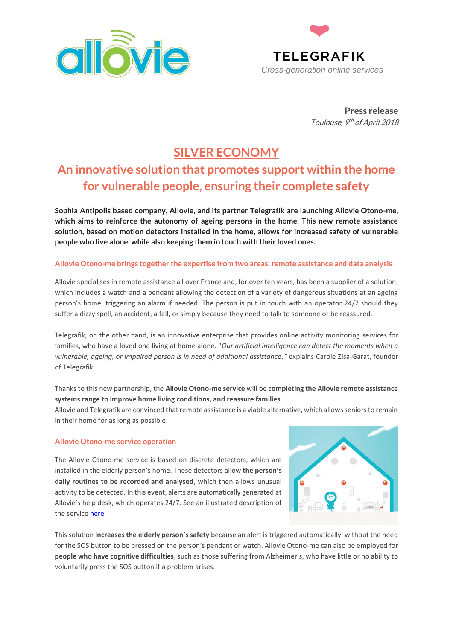



**Press release** Toulouse, 9<sup>th</sup> of April 2018

## **SILVER ECONOMY**

# **An innovative solution that promotes support within the home for vulnerable people, ensuring their complete safety**

**Sophia Antipolis based company, Allovie, and its partner Telegrafik are launching Allovie Otono-me, which aims to reinforce the autonomy of ageing persons in the home. This new remote assistance solution, based on motion detectors installed in the home, allows for increased safety of vulnerable people who live alone, while also keeping them in touch with their loved ones.** 

### **Allovie Otono-me brings together the expertise from two areas: remote assistance and data analysis**

Allovie specialises in remote assistance all over France and, for over ten years, has been a supplier of a solution, which includes a watch and a pendant allowing the detection of a variety of dangerous situations at an ageing person's home, triggering an alarm if needed. The person is put in touch with an operator 24/7 should they suffer a dizzy spell, an accident, a fall, or simply because they need to talk to someone or be reassured.

Telegrafik, on the other hand, is an innovative enterprise that provides online activity monitoring services for families, who have a loved one living at home alone. "*Our artificial intelligence can detect the moments when a vulnerable, ageing, or impaired person is in need of additional assistance."* explains Carole Zisa-Garat, founder of Telegrafik.

## Thanks to this new partnership, the **Allovie Otono-me service** will be **completing the Allovie remote assistance systems range to improve home living conditions, and reassure families**.

Allovie and Telegrafik are convinced that remote assistance is a viable alternative, which allows seniors to remain in their home for as long as possible.

### **Allovie Otono-me service operation**

The Allovie Otono-me service is based on discrete detectors, which are installed in the elderly person's home. These detectors allow **the person's daily routines to be recorded and analysed**, which then allows unusual activity to be detected. In this event, alerts are automatically generated at Allovie's help desk, which operates 24/7. See an illustrated description of the service [here](https://youtu.be/m_VTUXfsyPY)



This solution **increases the elderly person's safety** because an alert is triggered automatically, without the need for the SOS button to be pressed on the person's pendant or watch. Allovie Otono-me can also be employed for **people who have cognitive difficulties**, such as those suffering from Alzheimer's, who have little or no ability to voluntarily press the SOS button if a problem arises.